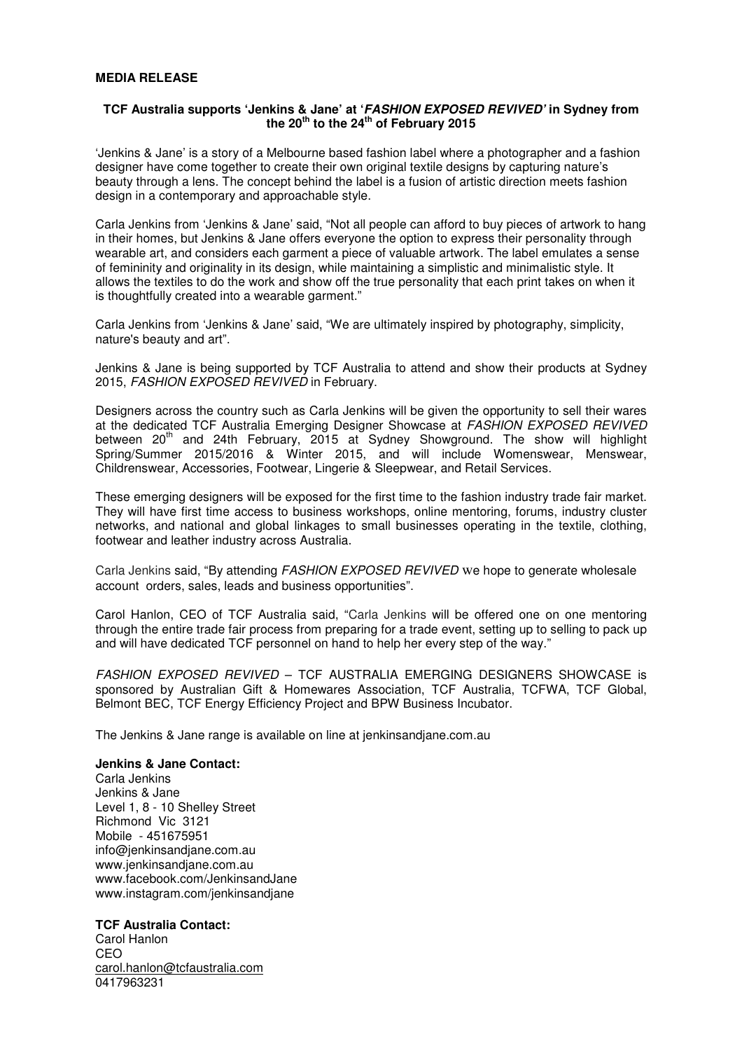## **MEDIA RELEASE**

## **TCF Australia supports 'Jenkins & Jane' at 'FASHION EXPOSED REVIVED' in Sydney from the 20th to the 24th of February 2015**

'Jenkins & Jane' is a story of a Melbourne based fashion label where a photographer and a fashion designer have come together to create their own original textile designs by capturing nature's beauty through a lens. The concept behind the label is a fusion of artistic direction meets fashion design in a contemporary and approachable style.

Carla Jenkins from 'Jenkins & Jane' said, "Not all people can afford to buy pieces of artwork to hang in their homes, but Jenkins & Jane offers everyone the option to express their personality through wearable art, and considers each garment a piece of valuable artwork. The label emulates a sense of femininity and originality in its design, while maintaining a simplistic and minimalistic style. It allows the textiles to do the work and show off the true personality that each print takes on when it is thoughtfully created into a wearable garment."

Carla Jenkins from 'Jenkins & Jane' said, "We are ultimately inspired by photography, simplicity, nature's beauty and art".

Jenkins & Jane is being supported by TCF Australia to attend and show their products at Sydney 2015, FASHION EXPOSED REVIVED in February.

Designers across the country such as Carla Jenkins will be given the opportunity to sell their wares at the dedicated TCF Australia Emerging Designer Showcase at FASHION EXPOSED REVIVED between 20<sup>th</sup> and 24th February, 2015 at Sydney Showground. The show will highlight Spring/Summer 2015/2016 & Winter 2015, and will include Womenswear, Menswear, Childrenswear, Accessories, Footwear, Lingerie & Sleepwear, and Retail Services.

These emerging designers will be exposed for the first time to the fashion industry trade fair market. They will have first time access to business workshops, online mentoring, forums, industry cluster networks, and national and global linkages to small businesses operating in the textile, clothing, footwear and leather industry across Australia.

Carla Jenkins said, "By attending FASHION EXPOSED REVIVED we hope to generate wholesale account orders, sales, leads and business opportunities".

Carol Hanlon, CEO of TCF Australia said, "Carla Jenkins will be offered one on one mentoring through the entire trade fair process from preparing for a trade event, setting up to selling to pack up and will have dedicated TCF personnel on hand to help her every step of the way."

FASHION EXPOSED REVIVED - TCF AUSTRALIA EMERGING DESIGNERS SHOWCASE is sponsored by Australian Gift & Homewares Association, TCF Australia, TCFWA, TCF Global, Belmont BEC, TCF Energy Efficiency Project and BPW Business Incubator.

The Jenkins & Jane range is available on line at jenkinsandjane.com.au

#### **Jenkins & Jane Contact:**

Carla Jenkins Jenkins & Jane Level 1, 8 - 10 Shelley Street Richmond Vic 3121 Mobile - 451675951 info@jenkinsandjane.com.au www.jenkinsandjane.com.au www.facebook.com/JenkinsandJane www.instagram.com/jenkinsandjane

## **TCF Australia Contact:**

Carol Hanlon CEO carol.hanlon@tcfaustralia.com 0417963231